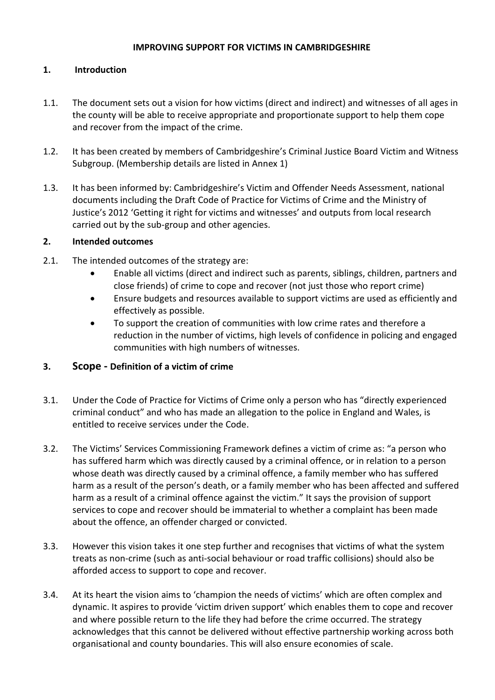#### **IMPROVING SUPPORT FOR VICTIMS IN CAMBRIDGESHIRE**

### **1. Introduction**

- 1.1. The document sets out a vision for how victims (direct and indirect) and witnesses of all ages in the county will be able to receive appropriate and proportionate support to help them cope and recover from the impact of the crime.
- 1.2. It has been created by members of Cambridgeshire's Criminal Justice Board Victim and Witness Subgroup. (Membership details are listed in Annex 1)
- 1.3. It has been informed by: Cambridgeshire's Victim and Offender Needs Assessment, national documents including the Draft Code of Practice for Victims of Crime and the Ministry of Justice's 2012 'Getting it right for victims and witnesses' and outputs from local research carried out by the sub-group and other agencies.

#### **2. Intended outcomes**

- 2.1. The intended outcomes of the strategy are:
	- Enable all victims (direct and indirect such as parents, siblings, children, partners and close friends) of crime to cope and recover (not just those who report crime)
	- Ensure budgets and resources available to support victims are used as efficiently and effectively as possible.
	- To support the creation of communities with low crime rates and therefore a reduction in the number of victims, high levels of confidence in policing and engaged communities with high numbers of witnesses.

### **3. Scope - Definition of a victim of crime**

- 3.1. Under the Code of Practice for Victims of Crime only a person who has "directly experienced criminal conduct" and who has made an allegation to the police in England and Wales, is entitled to receive services under the Code.
- 3.2. The Victims' Services Commissioning Framework defines a victim of crime as: "a person who has suffered harm which was directly caused by a criminal offence, or in relation to a person whose death was directly caused by a criminal offence, a family member who has suffered harm as a result of the person's death, or a family member who has been affected and suffered harm as a result of a criminal offence against the victim." It says the provision of support services to cope and recover should be immaterial to whether a complaint has been made about the offence, an offender charged or convicted.
- 3.3. However this vision takes it one step further and recognises that victims of what the system treats as non-crime (such as anti-social behaviour or road traffic collisions) should also be afforded access to support to cope and recover.
- 3.4. At its heart the vision aims to 'champion the needs of victims' which are often complex and dynamic. It aspires to provide 'victim driven support' which enables them to cope and recover and where possible return to the life they had before the crime occurred. The strategy acknowledges that this cannot be delivered without effective partnership working across both organisational and county boundaries. This will also ensure economies of scale.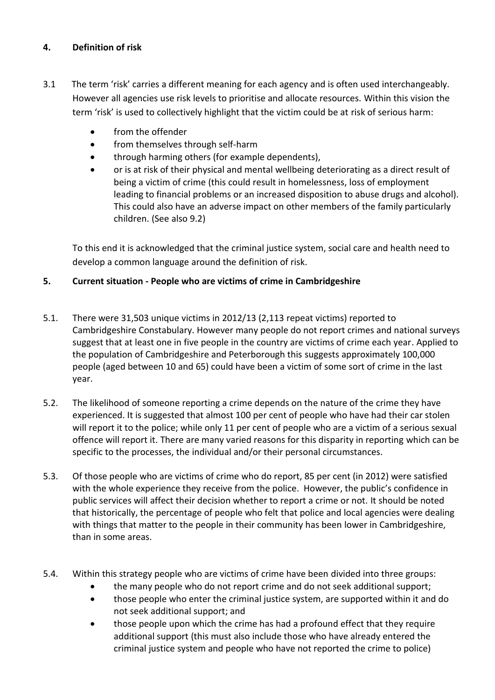## **4. Definition of risk**

- 3.1 The term 'risk' carries a different meaning for each agency and is often used interchangeably. However all agencies use risk levels to prioritise and allocate resources. Within this vision the term 'risk' is used to collectively highlight that the victim could be at risk of serious harm:
	- **•** from the offender
	- from themselves through self-harm
	- through harming others (for example dependents),
	- or is at risk of their physical and mental wellbeing deteriorating as a direct result of being a victim of crime (this could result in homelessness, loss of employment leading to financial problems or an increased disposition to abuse drugs and alcohol). This could also have an adverse impact on other members of the family particularly children. (See also 9.2)

To this end it is acknowledged that the criminal justice system, social care and health need to develop a common language around the definition of risk.

### **5. Current situation - People who are victims of crime in Cambridgeshire**

- 5.1. There were 31,503 unique victims in 2012/13 (2,113 repeat victims) reported to Cambridgeshire Constabulary. However many people do not report crimes and national surveys suggest that at least one in five people in the country are victims of crime each year. Applied to the population of Cambridgeshire and Peterborough this suggests approximately 100,000 people (aged between 10 and 65) could have been a victim of some sort of crime in the last year.
- 5.2. The likelihood of someone reporting a crime depends on the nature of the crime they have experienced. It is suggested that almost 100 per cent of people who have had their car stolen will report it to the police; while only 11 per cent of people who are a victim of a serious sexual offence will report it. There are many varied reasons for this disparity in reporting which can be specific to the processes, the individual and/or their personal circumstances.
- 5.3. Of those people who are victims of crime who do report, 85 per cent (in 2012) were satisfied with the whole experience they receive from the police. However, the public's confidence in public services will affect their decision whether to report a crime or not. It should be noted that historically, the percentage of people who felt that police and local agencies were dealing with things that matter to the people in their community has been lower in Cambridgeshire, than in some areas.
- 5.4. Within this strategy people who are victims of crime have been divided into three groups:
	- the many people who do not report crime and do not seek additional support;
	- those people who enter the criminal justice system, are supported within it and do not seek additional support; and
	- those people upon which the crime has had a profound effect that they require additional support (this must also include those who have already entered the criminal justice system and people who have not reported the crime to police)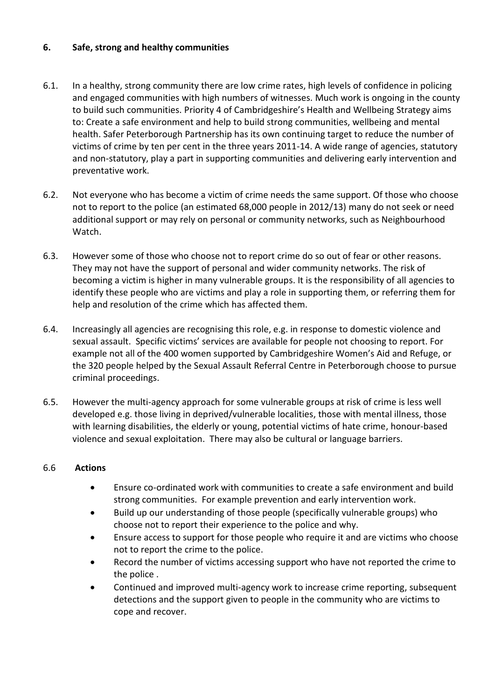### **6. Safe, strong and healthy communities**

- 6.1. In a healthy, strong community there are low crime rates, high levels of confidence in policing and engaged communities with high numbers of witnesses. Much work is ongoing in the county to build such communities. Priority 4 of Cambridgeshire's Health and Wellbeing Strategy aims to: Create a safe environment and help to build strong communities, wellbeing and mental health. Safer Peterborough Partnership has its own continuing target to reduce the number of victims of crime by ten per cent in the three years 2011-14. A wide range of agencies, statutory and non-statutory, play a part in supporting communities and delivering early intervention and preventative work.
- 6.2. Not everyone who has become a victim of crime needs the same support. Of those who choose not to report to the police (an estimated 68,000 people in 2012/13) many do not seek or need additional support or may rely on personal or community networks, such as Neighbourhood Watch.
- 6.3. However some of those who choose not to report crime do so out of fear or other reasons. They may not have the support of personal and wider community networks. The risk of becoming a victim is higher in many vulnerable groups. It is the responsibility of all agencies to identify these people who are victims and play a role in supporting them, or referring them for help and resolution of the crime which has affected them.
- 6.4. Increasingly all agencies are recognising this role, e.g. in response to domestic violence and sexual assault. Specific victims' services are available for people not choosing to report. For example not all of the 400 women supported by Cambridgeshire Women's Aid and Refuge, or the 320 people helped by the Sexual Assault Referral Centre in Peterborough choose to pursue criminal proceedings.
- 6.5. However the multi-agency approach for some vulnerable groups at risk of crime is less well developed e.g. those living in deprived/vulnerable localities, those with mental illness, those with learning disabilities, the elderly or young, potential victims of hate crime, honour-based violence and sexual exploitation. There may also be cultural or language barriers.

### 6.6 **Actions**

- Ensure co-ordinated work with communities to create a safe environment and build strong communities. For example prevention and early intervention work.
- Build up our understanding of those people (specifically vulnerable groups) who choose not to report their experience to the police and why.
- Ensure access to support for those people who require it and are victims who choose not to report the crime to the police.
- Record the number of victims accessing support who have not reported the crime to the police .
- Continued and improved multi-agency work to increase crime reporting, subsequent detections and the support given to people in the community who are victims to cope and recover.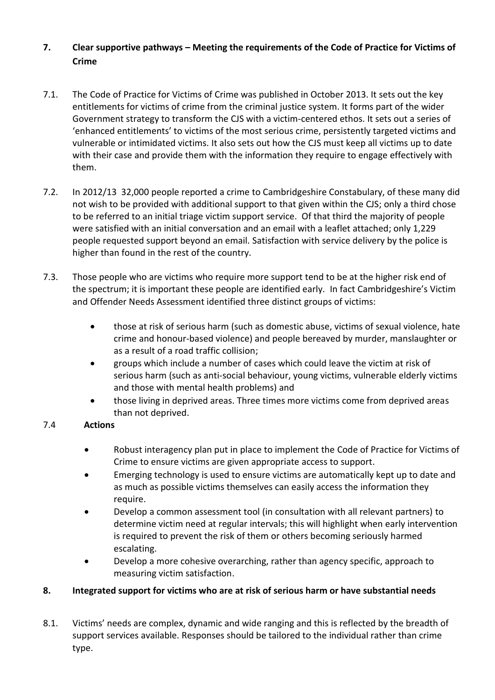# **7. Clear supportive pathways – Meeting the requirements of the Code of Practice for Victims of Crime**

- 7.1. The Code of Practice for Victims of Crime was published in October 2013. It sets out the key entitlements for victims of crime from the criminal justice system. It forms part of the wider Government strategy to transform the CJS with a victim-centered ethos. It sets out a series of 'enhanced entitlements' to victims of the most serious crime, persistently targeted victims and vulnerable or intimidated victims. It also sets out how the CJS must keep all victims up to date with their case and provide them with the information they require to engage effectively with them.
- 7.2. In 2012/13 32,000 people reported a crime to Cambridgeshire Constabulary, of these many did not wish to be provided with additional support to that given within the CJS; only a third chose to be referred to an initial triage victim support service. Of that third the majority of people were satisfied with an initial conversation and an email with a leaflet attached; only 1,229 people requested support beyond an email. Satisfaction with service delivery by the police is higher than found in the rest of the country.
- 7.3. Those people who are victims who require more support tend to be at the higher risk end of the spectrum; it is important these people are identified early. In fact Cambridgeshire's Victim and Offender Needs Assessment identified three distinct groups of victims:
	- those at risk of serious harm (such as domestic abuse, victims of sexual violence, hate crime and honour-based violence) and people bereaved by murder, manslaughter or as a result of a road traffic collision;
	- groups which include a number of cases which could leave the victim at risk of serious harm (such as anti-social behaviour, young victims, vulnerable elderly victims and those with mental health problems) and
	- those living in deprived areas. Three times more victims come from deprived areas than not deprived.

## 7.4 **Actions**

- Robust interagency plan put in place to implement the Code of Practice for Victims of Crime to ensure victims are given appropriate access to support.
- Emerging technology is used to ensure victims are automatically kept up to date and as much as possible victims themselves can easily access the information they require.
- Develop a common assessment tool (in consultation with all relevant partners) to determine victim need at regular intervals; this will highlight when early intervention is required to prevent the risk of them or others becoming seriously harmed escalating.
- Develop a more cohesive overarching, rather than agency specific, approach to measuring victim satisfaction.

## **8. Integrated support for victims who are at risk of serious harm or have substantial needs**

8.1. Victims' needs are complex, dynamic and wide ranging and this is reflected by the breadth of support services available. Responses should be tailored to the individual rather than crime type.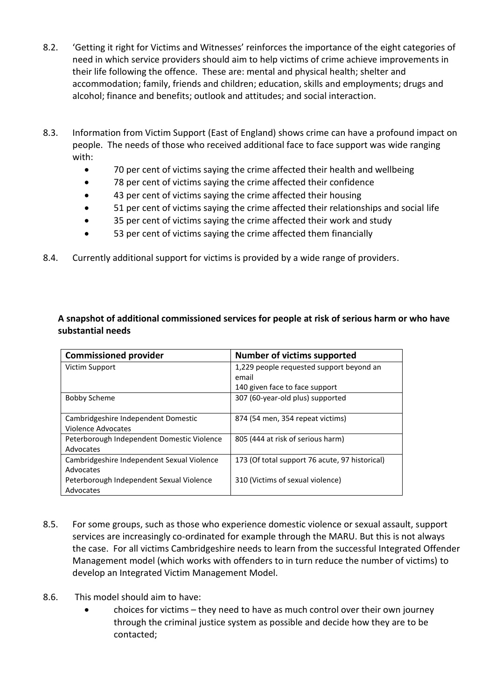- 8.2. 'Getting it right for Victims and Witnesses' reinforces the importance of the eight categories of need in which service providers should aim to help victims of crime achieve improvements in their life following the offence. These are: mental and physical health; shelter and accommodation; family, friends and children; education, skills and employments; drugs and alcohol; finance and benefits; outlook and attitudes; and social interaction.
- 8.3. Information from Victim Support (East of England) shows crime can have a profound impact on people. The needs of those who received additional face to face support was wide ranging with:
	- 70 per cent of victims saying the crime affected their health and wellbeing
	- 78 per cent of victims saying the crime affected their confidence
	- 43 per cent of victims saying the crime affected their housing
	- 51 per cent of victims saying the crime affected their relationships and social life
	- 35 per cent of victims saying the crime affected their work and study
	- 53 per cent of victims saying the crime affected them financially
- 8.4. Currently additional support for victims is provided by a wide range of providers.

### **A snapshot of additional commissioned services for people at risk of serious harm or who have substantial needs**

| <b>Commissioned provider</b>               | Number of victims supported                    |
|--------------------------------------------|------------------------------------------------|
| Victim Support                             | 1,229 people requested support beyond an       |
|                                            | email                                          |
|                                            | 140 given face to face support                 |
| <b>Bobby Scheme</b>                        | 307 (60-year-old plus) supported               |
|                                            |                                                |
| Cambridgeshire Independent Domestic        | 874 (54 men, 354 repeat victims)               |
| Violence Advocates                         |                                                |
| Peterborough Independent Domestic Violence | 805 (444 at risk of serious harm)              |
| Advocates                                  |                                                |
| Cambridgeshire Independent Sexual Violence | 173 (Of total support 76 acute, 97 historical) |
| Advocates                                  |                                                |
| Peterborough Independent Sexual Violence   | 310 (Victims of sexual violence)               |
| Advocates                                  |                                                |

- 8.5. For some groups, such as those who experience domestic violence or sexual assault, support services are increasingly co-ordinated for example through the MARU. But this is not always the case. For all victims Cambridgeshire needs to learn from the successful Integrated Offender Management model (which works with offenders to in turn reduce the number of victims) to develop an Integrated Victim Management Model.
- 8.6. This model should aim to have:
	- choices for victims they need to have as much control over their own journey through the criminal justice system as possible and decide how they are to be contacted;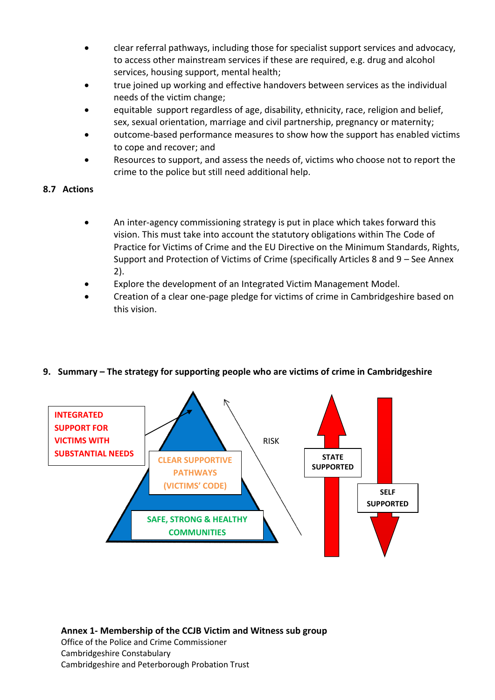- clear referral pathways, including those for specialist support services and advocacy, to access other mainstream services if these are required, e.g. drug and alcohol services, housing support, mental health;
- true joined up working and effective handovers between services as the individual needs of the victim change;
- equitable support regardless of age, disability, ethnicity, race, religion and belief, sex, sexual orientation, marriage and civil partnership, pregnancy or maternity;
- outcome-based performance measures to show how the support has enabled victims to cope and recover; and
- Resources to support, and assess the needs of, victims who choose not to report the crime to the police but still need additional help.

### **8.7 Actions**

- An inter-agency commissioning strategy is put in place which takes forward this vision. This must take into account the statutory obligations within The Code of Practice for Victims of Crime and the EU Directive on the Minimum Standards, Rights, Support and Protection of Victims of Crime (specifically Articles 8 and 9 – See Annex 2).
- Explore the development of an Integrated Victim Management Model.
- Creation of a clear one-page pledge for victims of crime in Cambridgeshire based on this vision.



### **9. Summary – The strategy for supporting people who are victims of crime in Cambridgeshire**

**Annex 1- Membership of the CCJB Victim and Witness sub group**  Office of the Police and Crime Commissioner Cambridgeshire Constabulary Cambridgeshire and Peterborough Probation Trust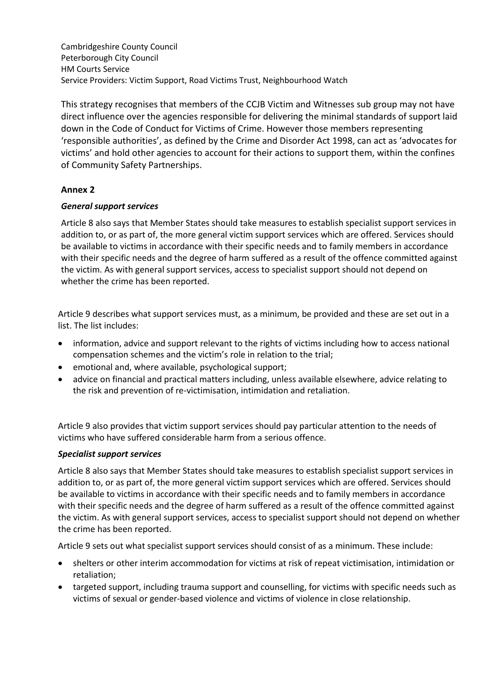Cambridgeshire County Council Peterborough City Council HM Courts Service Service Providers: Victim Support, Road Victims Trust, Neighbourhood Watch

This strategy recognises that members of the CCJB Victim and Witnesses sub group may not have direct influence over the agencies responsible for delivering the minimal standards of support laid down in the Code of Conduct for Victims of Crime. However those members representing 'responsible authorities', as defined by the Crime and Disorder Act 1998, can act as 'advocates for victims' and hold other agencies to account for their actions to support them, within the confines of Community Safety Partnerships.

## **Annex 2**

### *General support services*

Article 8 also says that Member States should take measures to establish specialist support services in addition to, or as part of, the more general victim support services which are offered. Services should be available to victims in accordance with their specific needs and to family members in accordance with their specific needs and the degree of harm suffered as a result of the offence committed against the victim. As with general support services, access to specialist support should not depend on whether the crime has been reported.

Article 9 describes what support services must, as a minimum, be provided and these are set out in a list. The list includes:

- information, advice and support relevant to the rights of victims including how to access national compensation schemes and the victim's role in relation to the trial;
- emotional and, where available, psychological support;
- advice on financial and practical matters including, unless available elsewhere, advice relating to the risk and prevention of re-victimisation, intimidation and retaliation.

Article 9 also provides that victim support services should pay particular attention to the needs of victims who have suffered considerable harm from a serious offence.

### *Specialist support services*

Article 8 also says that Member States should take measures to establish specialist support services in addition to, or as part of, the more general victim support services which are offered. Services should be available to victims in accordance with their specific needs and to family members in accordance with their specific needs and the degree of harm suffered as a result of the offence committed against the victim. As with general support services, access to specialist support should not depend on whether the crime has been reported.

Article 9 sets out what specialist support services should consist of as a minimum. These include:

- shelters or other interim accommodation for victims at risk of repeat victimisation, intimidation or retaliation;
- targeted support, including trauma support and counselling, for victims with specific needs such as victims of sexual or gender-based violence and victims of violence in close relationship.